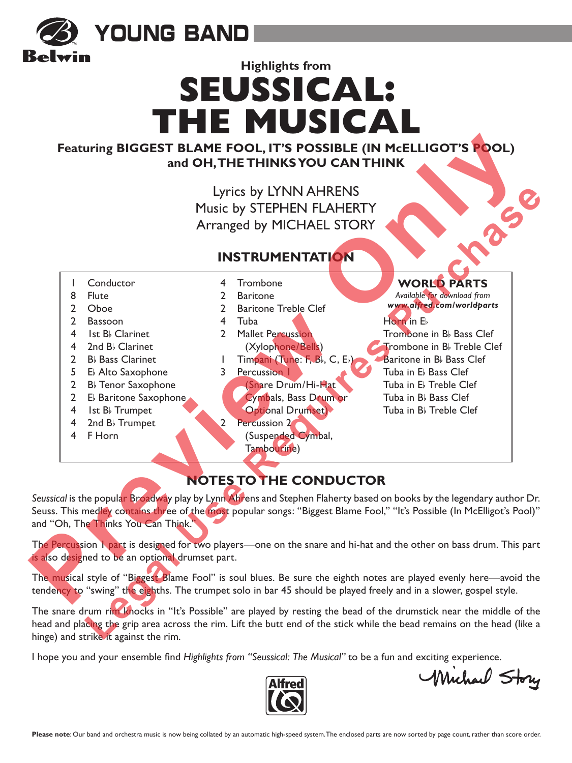

## **YOUNG BAND**

# **Highlights from Seussical: The Musical**

Featuring BIGGEST BLAME FOOL, IT'S POSSIBLE (IN McELLIGOT'S POOL) **and OH, THE THINKS YOU CAN THINK**

> Lyrics by LYNN AHRENS Music by STEPHEN FLAHERTY Arranged by MICHAEL STORY

## **INSTRUMENTATION**

- 1 Conductor
- 8 Flute
- 2 Oboe
- 2 Bassoon
- 4 1st B<sub>b</sub> Clarinet
- 4 2nd B<sub>b</sub> Clarinet
- 2 B<sub>b</sub> Bass Clarinet
- 5 El Alto Saxophone
- 2 B<sub>b</sub> Tenor Saxophone
- 2 Eb Baritone Saxophone
- 4 1st  $B$  Trumpet
- 4 2nd B<sub>b</sub> Trumpet
- 4 F Horn
- 4 Trombone 2 Baritone
- 2 Baritone Treble Clef
- 4 Tuba
- 2 Mallet Percussion (Xylophone/Bells)
- 1 Timpani (Tune: F, Bb, C, Eb)
- 3 Percussion 1
	- (Snare Drum/Hi-Hat
	- Cymbals, Bass Drum or
	- Optional Drumset)
- 2 Percussion 2
	- (Suspended Cymbal, Tambourine)

#### **World Parts** *Available for download from*

*www.alfred.com/worldparts*

- Horn in E<sub>b</sub>
- Trombone in B<sub>b</sub> Bass Clef Trombone in B<sub>b</sub> Treble Clef Baritone in B<sub>b</sub> Bass Clef Tuba in Eb Bass Clef Tuba in Eb Treble Clef Tuba in B<sub>b</sub> Bass Clef Tuba in B<sub>b</sub> Treble Clef

## **NOTES TO THE CONDUCTOR**

*Seussical* is the popular Broadway play by Lynn Ahrens and Stephen Flaherty based on books by the legendary author Dr. Seuss. This medley contains three of the most popular songs: "Biggest Blame Fool," "It's Possible (In McElligot's Pool)" and "Oh, The Thinks You Can Think." **Prediction BIGGEST BLAME FOOL, IT'S POSSIBLE (IN MCELLIGOT'S POOL)<br>
and OH, THE THINKS YOU CAN THINK<br>
Lyrics by STEPHEN FIAAHERTY<br>
Music by STEPHEN FIAAHERTY<br>
Arranged by MICHAEL STORY<br>
Preview of PARTS<br>
2 Bissocon<br>
2 Bis** Legate Conductor Mark Development and State Development and State Conductor and Conductor and This Persisten The Conductor and This Persisten The Conductor and This Persisten The Conductor of the Conductor of the Conductor

The Percussion 1 part is designed for two players—one on the snare and hi-hat and the other on bass drum. This part is also designed to be an optional drumset part.

The musical style of "Biggest Blame Fool" is soul blues. Be sure the eighth notes are played evenly here—avoid the tendency to "swing" the eighths. The trumpet solo in bar 45 should be played freely and in a slower, gospel style.

The snare drum rim knocks in "It's Possible" are played by resting the bead of the drumstick near the middle of the head and placing the grip area across the rim. Lift the butt end of the stick while the bead remains on the head (like a hinge) and strike it against the rim.

I hope you and your ensemble find *Highlights from "Seussical: The Musical"* to be a fun and exciting experience.



Michael Story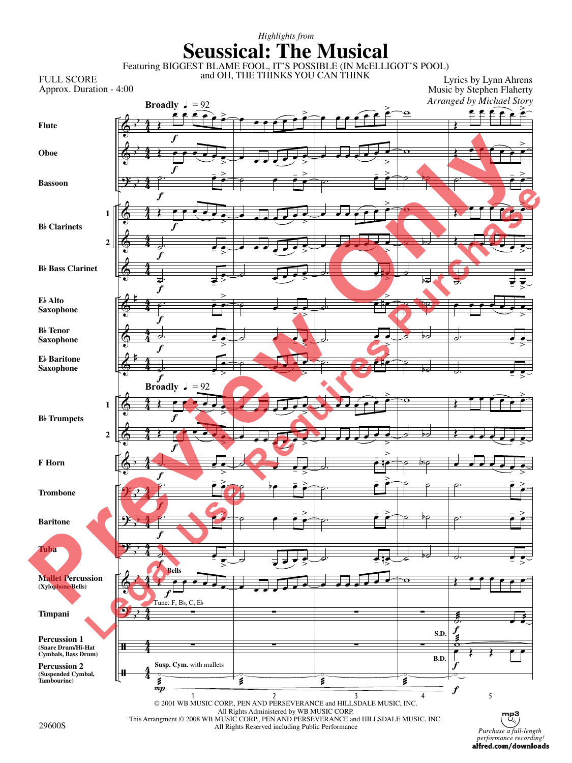### **Seussical: The Musical** *Highlights from*

Featuring BIGGEST BLAME FOOL, IT'S POSSIBLE (IN McELLIGOT'S POOL) and OH, THE THINKS YOU CAN THINK

FULL SCORE Approx. Duration - 4:00

Lyrics by Lynn Ahrens Music by Stephen Flaherty *Arranged by Michael Story*



Purchase a full-length<br>performance recording! alfred.com/downloads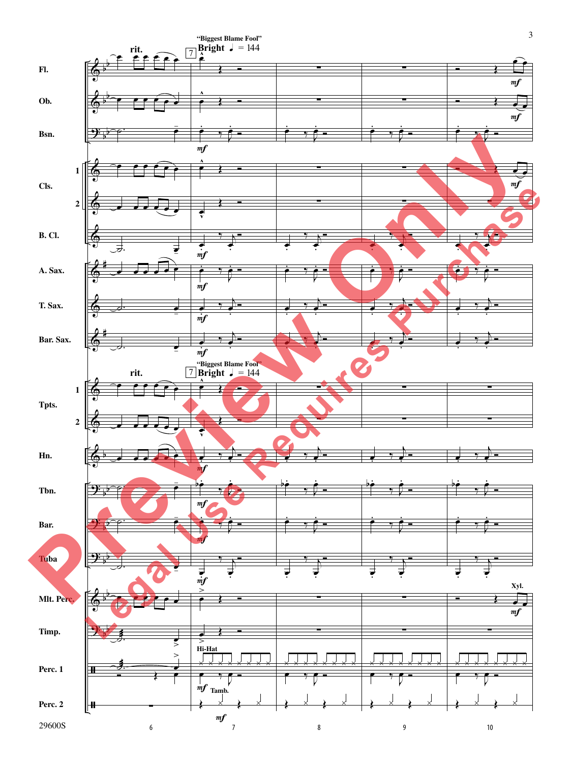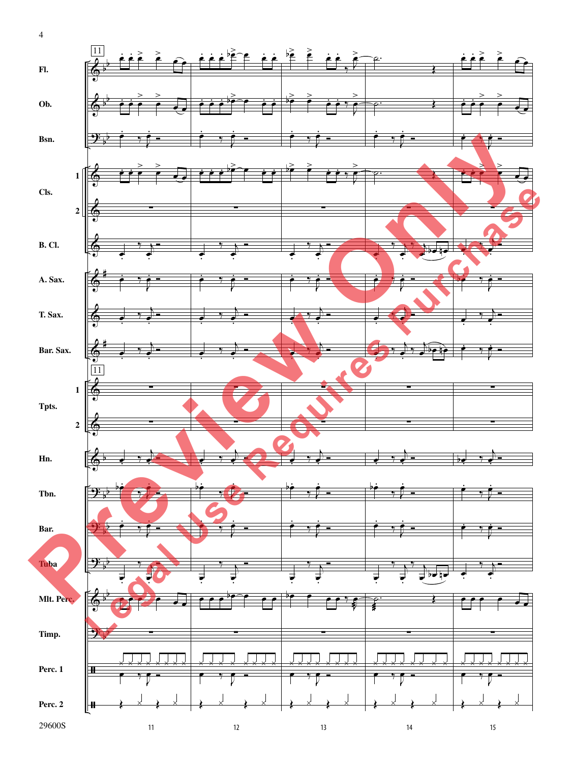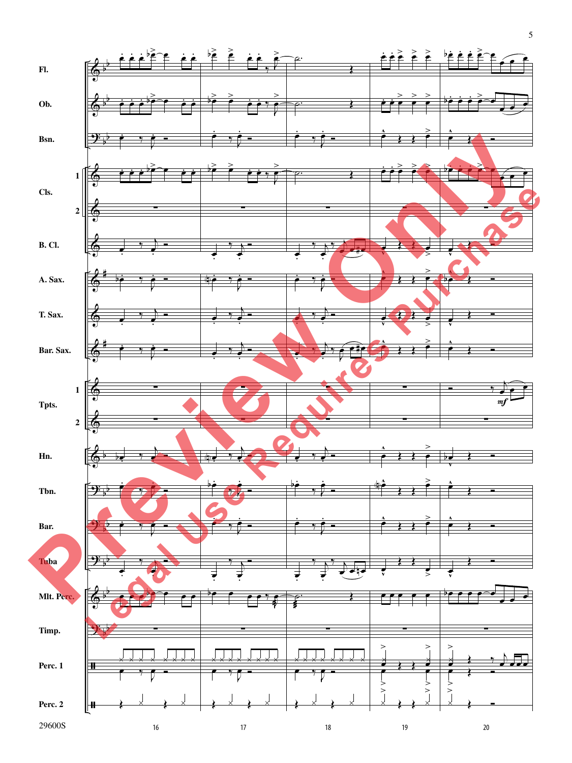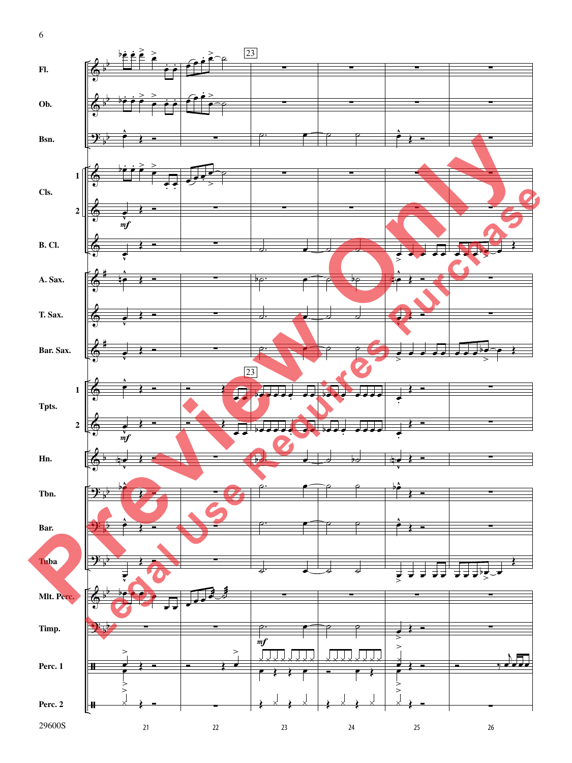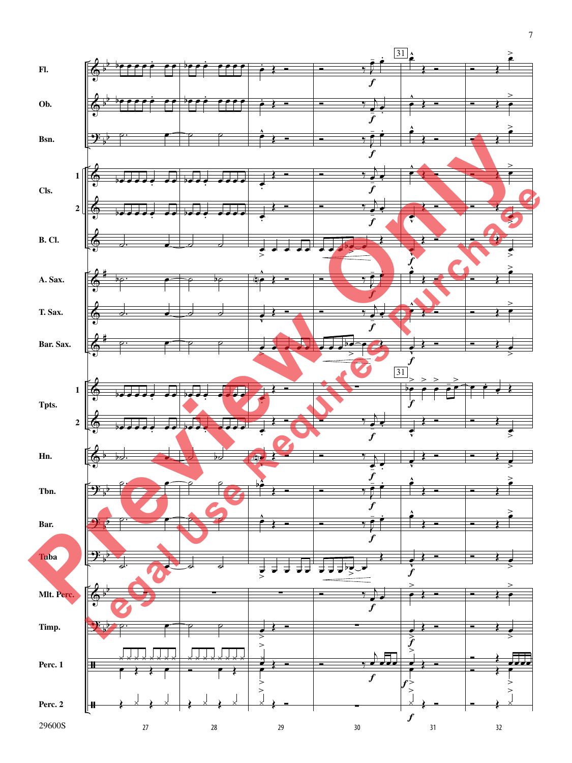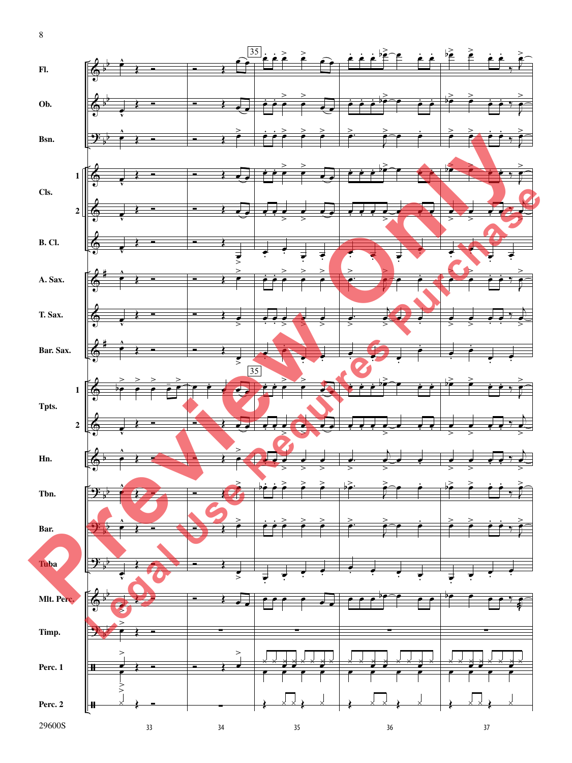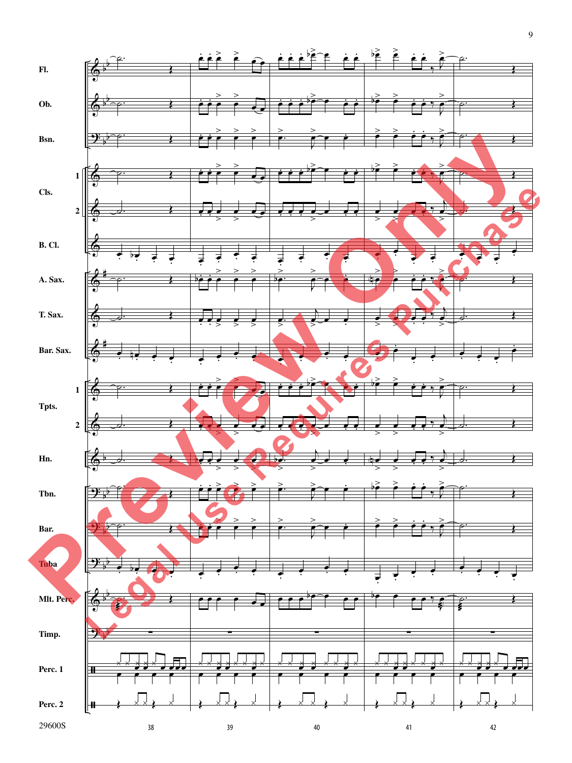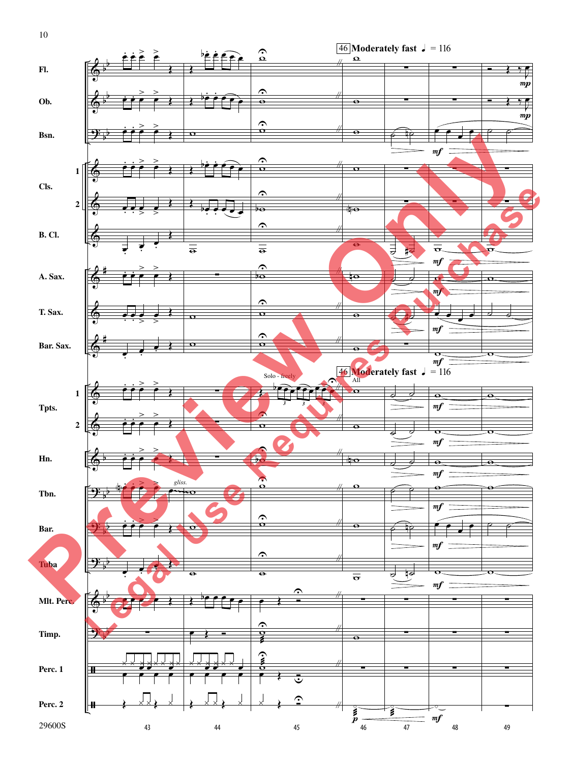

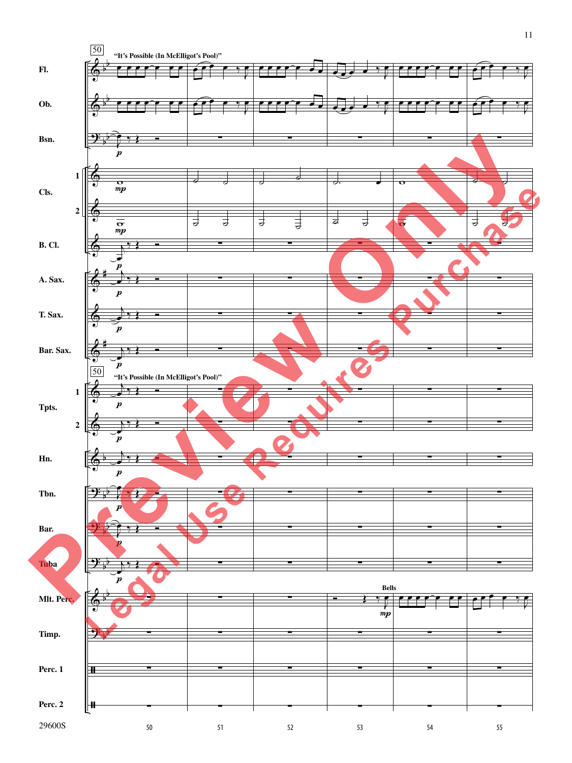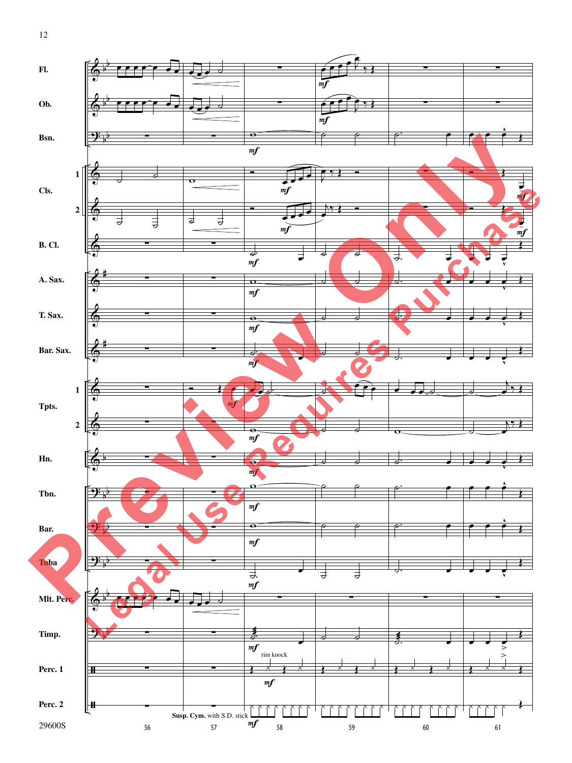

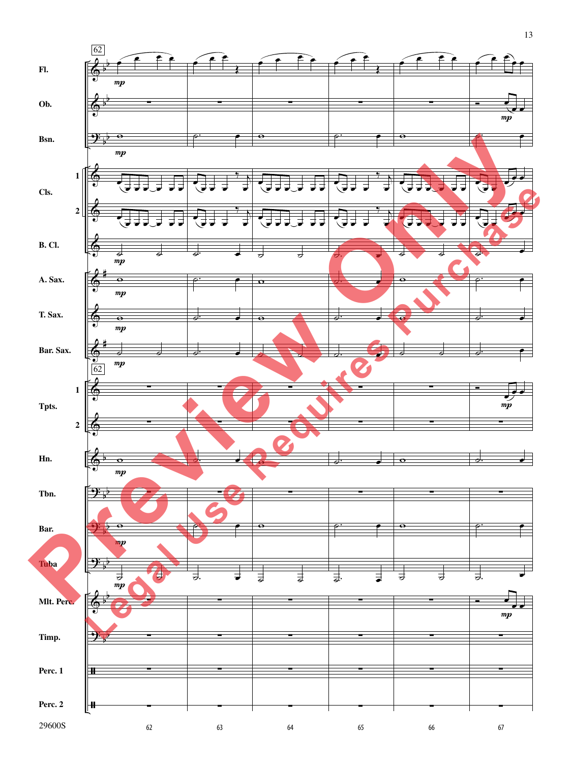

64∑

65∑

66∑

67∑

62∑

29600S

63∑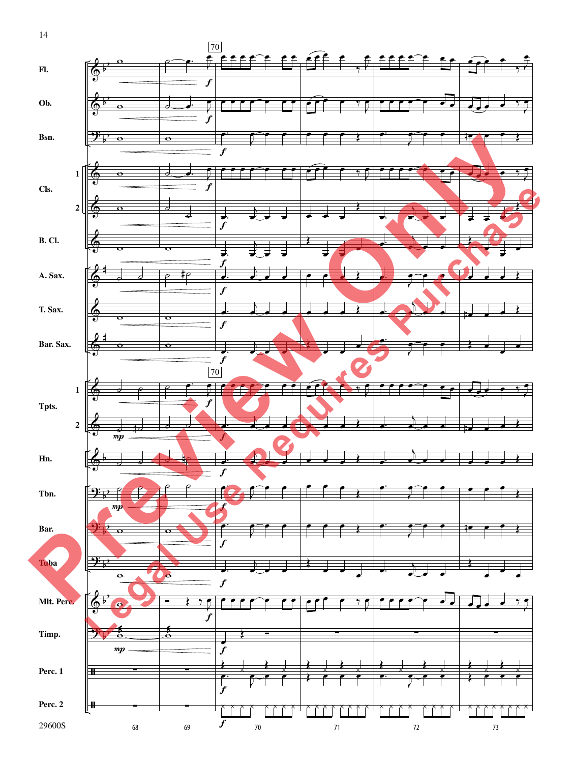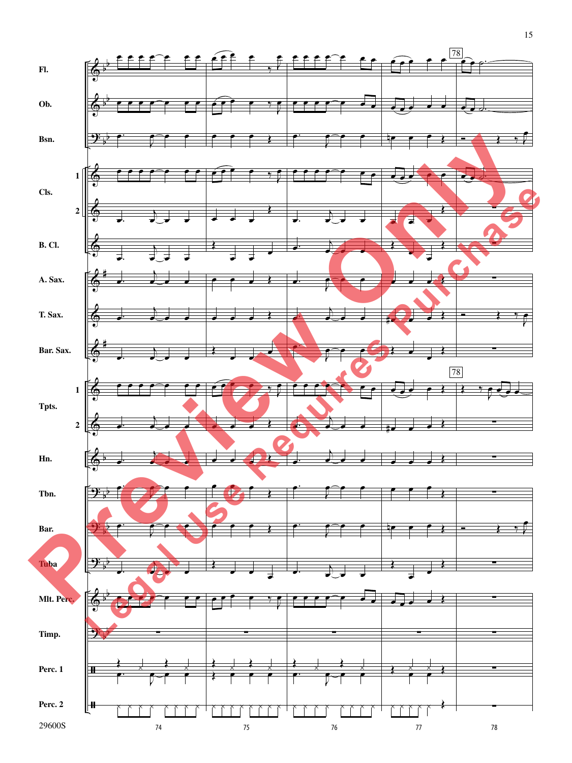78 È œ œ œ œ œ œ œ œ  $\frac{1}{2}$ œ œ œ œ œ É œ œ œ œ œ É œ É . œ œ ˙ b **Fl.** b  $\overline{ }$ &&?&&&&&&&&&???&?ãã b œ **Ob.** œ œ œ  $\bullet$   $\bullet$ œ œ œ  $\sharp$ œ œ œ œ œ b œ  $\frac{2}{\pi}$ œ œ œ œ œ œ œ œ œ ˙ . Jœ . . **Preview Only** œ P<br>P œ œ œ œ œ œ P<br>P œ œ œ **Bsn.** b œn œ Œ Œ  $\overline{\phantom{a}}$ b È œ œ œ  $\bullet$   $\bullet$   $\bullet$ œ œ œ P œ œ œ œ œ É œ  $\overline{ }$ œ œ œ **1212** œ œ œ . œ œ ˙ **Cls. Legal Use Requires Purchase**Œ Œ ∑∑∑  $\Rightarrow$ jœ œ œ œ . œ œ œ œ . œ œ œ œ œ **B. Cl.**  $\frac{1}{2}$ Œ Œ Œ . j<br>J œ œ œ œ œ œ œ œ œ œ œ . ##bb  $\frac{1}{2}$ **A. Sax.** œ œ Œ  $\overline{z}$ œ œ Œ  $\overrightarrow{e}$ œ . œ œ œ . œ œ œ  $\Rightarrow$  $\frac{1}{2}$ **T. Sax.** Œ Œ  $\leftarrow$   $\leftarrow$   $\leftarrow$  $\overline{z}$ . . œ œ œ œ œ œ œ œ œ œ œ# œ . **Bar. Sax.** œ Œ jœ Œ œ F<br>7 œ œ Œ ∑ œ œ . œ œ œ œ œ 78 È œ œ œ  $\bullet$ œ œ œ P œ œ œ œ œ ‰ œ œ œ  $\qquad \qquad \bullet$  $\frac{1}{2}$ P œ œ œ œ œ **Tpts.** jœ jœ Œ Œ ∑∑∑ . . œ œ œ œ œ œ œ œ œ œ œ# œ  $\frac{4}{\pi}$ jœ **Hn.** œ  $\ddot{\epsilon}$ Œ . œ . œ œ œ œ œ œ œ œ œ œ . œ œ . œ P œ œ œ  $\frac{2}{\sqrt{2}}$ œ œ œ œ œ  $\mathbf{\Theta}$ **Tbn.** Œ œ Œ Jœ . . œ P<br>P œ œ œ œ œ œ P<br>Z œ œ œ **Bar.** b œn œ Œ  $\longleftrightarrow$   $\rightarrow$ Œ b **Tuba** b j<br>C Œ Œ Œ ∑∑∑∑ b jœ œ . œ œ œ œ œ . œ œ œ œ œ b **Mlt. Perc.** œ œ œ œ œ œ œ œ œ œ œ  $\beta$ œ œ œ œ œ œ b  $\frac{2}{\pi}$ œ Œ œ œ œ œ **Timp.** b ∑ ∑ ∑ ∑ b Œ Œ Œ Œ Œ Œ **Perc. 1**  $\mathbf{H}$ ¿ ¿ ¿ ¿ ¿ ¿ ¿ ¿  $\blacksquare$ Œ Œ œ .  $\nabla$ œ œ œ œ œ œ .  $\int$ œ œ œ œ Œ

**Perc. 2**

29600S

74

75

76

77

78∑

ř ř ř ř ¿ Œ

ř ř ř ¿ ¿ ř ř ř

ř ř ř ř ř ¿ ¿ ř

ř ř ř ř ř ¿ ř ř

╟╫

15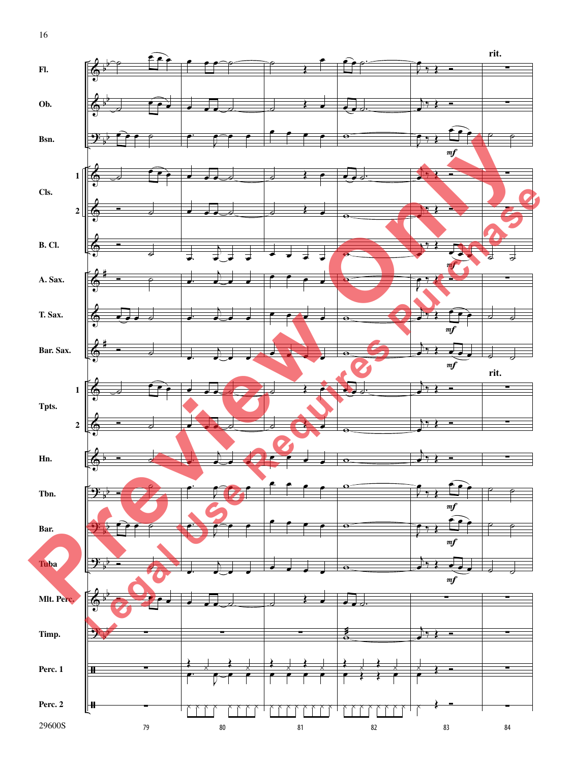

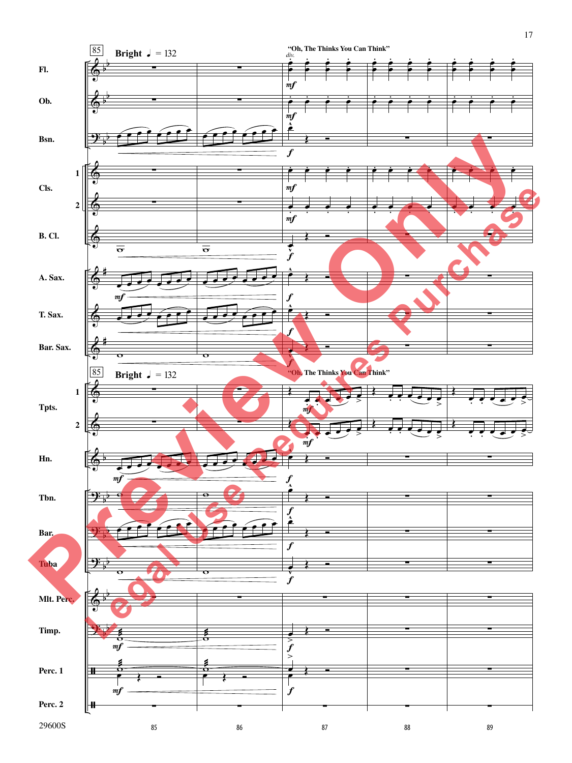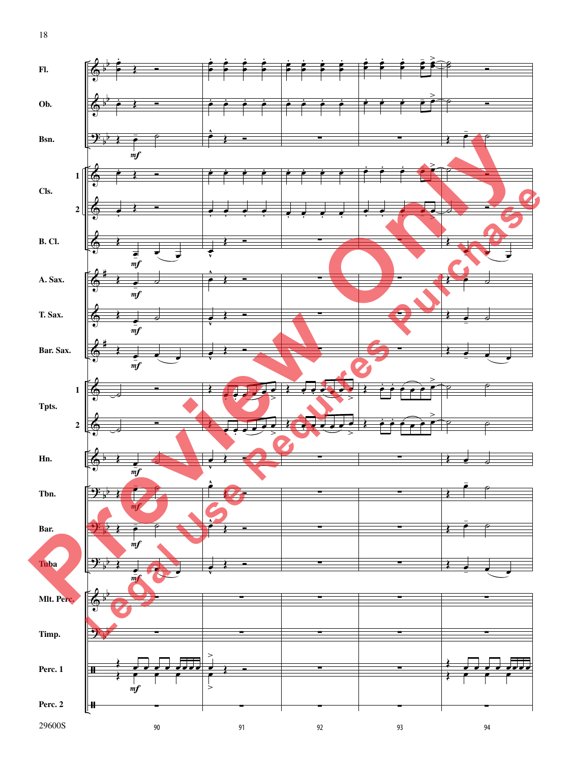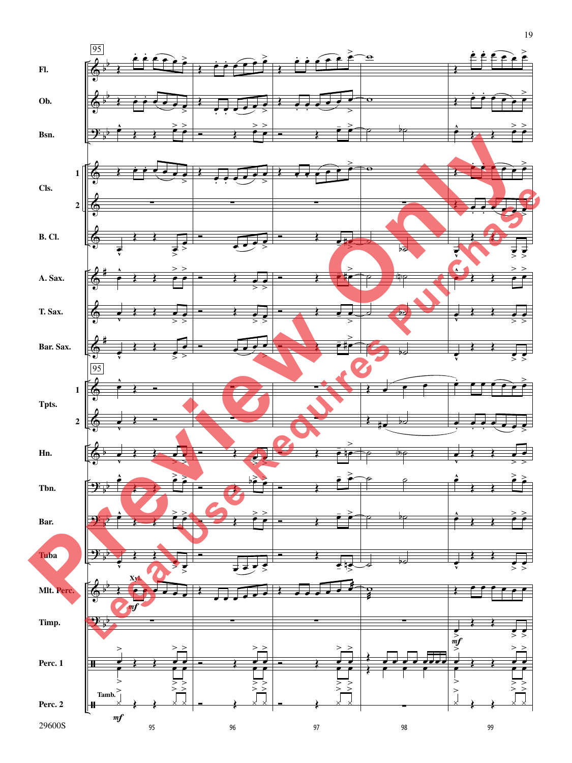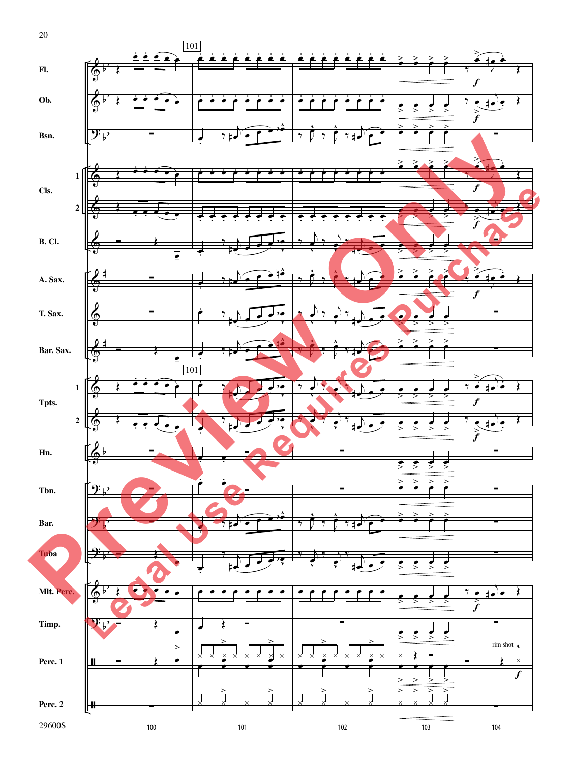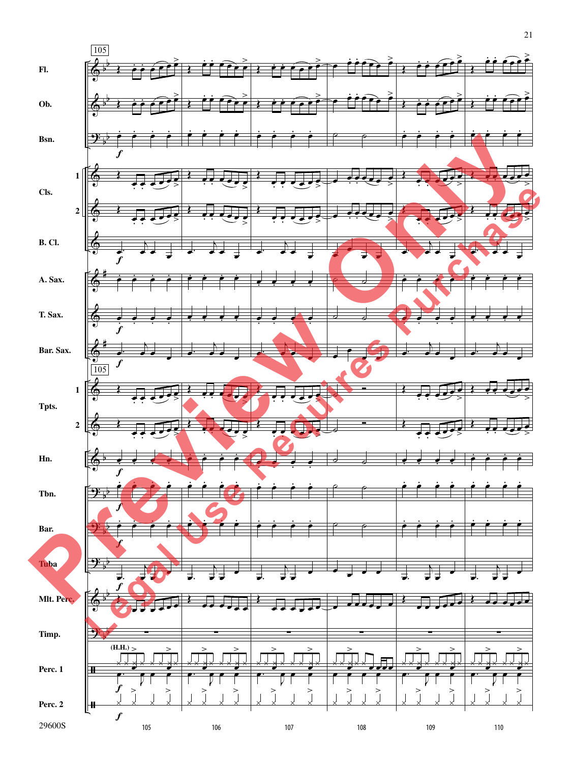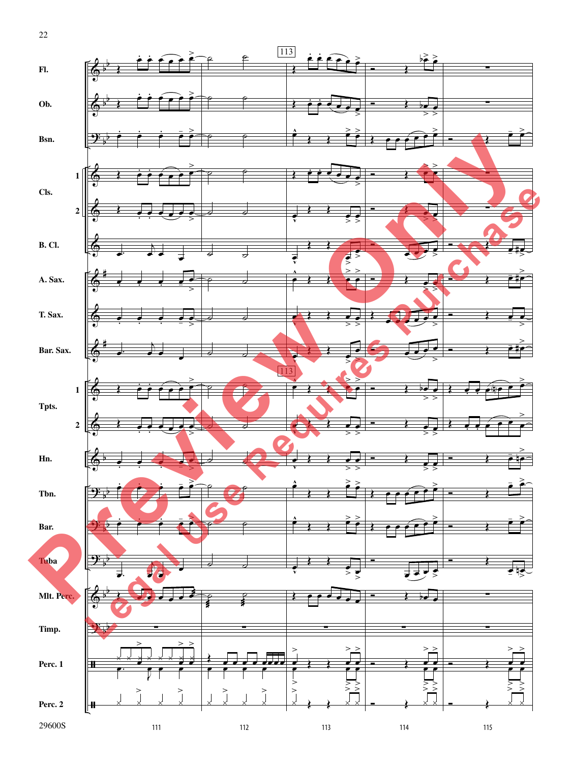

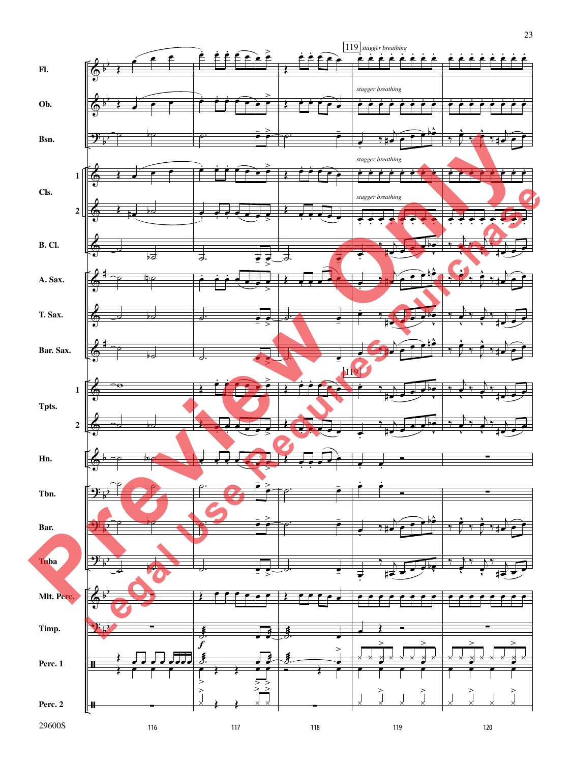